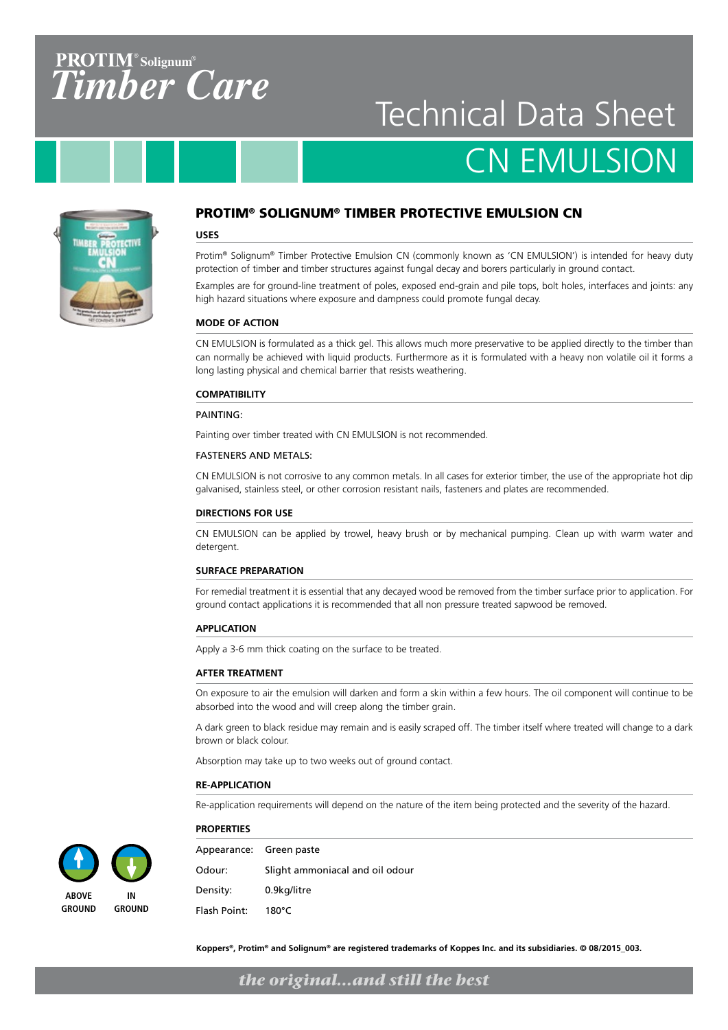### $PROTIM^<sub>°</sub>$  Solignum<sup>®</sup> *TimberCare*

## Technical Data Sheet CN EMULSION



#### PROTIM® SOLIGNUM® TIMBER PROTECTIVE EMULSION CN

#### **USES**

Protim® Solignum® Timber Protective Emulsion CN (commonly known as 'CN EMULSION') is intended for heavy duty protection of timber and timber structures against fungal decay and borers particularly in ground contact.

Examples are for ground-line treatment of poles, exposed end-grain and pile tops, bolt holes, interfaces and joints: any high hazard situations where exposure and dampness could promote fungal decay.

#### **MODE OF ACTION**

CN EMULSION is formulated as a thick gel. This allows much more preservative to be applied directly to the timber than can normally be achieved with liquid products. Furthermore as it is formulated with a heavy non volatile oil it forms a long lasting physical and chemical barrier that resists weathering.

#### **COMPATIBILITY**

#### PAINTING:

Painting over timber treated with CN EMULSION is not recommended.

#### FASTENERS AND METALS:

CN EMULSION is not corrosive to any common metals. In all cases for exterior timber, the use of the appropriate hot dip galvanised, stainless steel, or other corrosion resistant nails, fasteners and plates are recommended.

#### **DIRECTIONS FOR USE**

CN EMULSION can be applied by trowel, heavy brush or by mechanical pumping. Clean up with warm water and detergent.

#### **SURFACE PREPARATION**

For remedial treatment it is essential that any decayed wood be removed from the timber surface prior to application. For ground contact applications it is recommended that all non pressure treated sapwood be removed.

#### **APPLICATION**

Apply a 3-6 mm thick coating on the surface to be treated.

#### **AFTER TREATMENT**

On exposure to air the emulsion will darken and form a skin within a few hours. The oil component will continue to be absorbed into the wood and will creep along the timber grain.

A dark green to black residue may remain and is easily scraped off. The timber itself where treated will change to a dark brown or black colour.

Absorption may take up to two weeks out of ground contact.

#### **RE-APPLICATION**

**PROPERTIES**

Re-application requirements will depend on the nature of the item being protected and the severity of the hazard.



**ABOVE GROUND**



**IN GROUND** Appearance: Green paste Odour: Slight ammoniacal and oil odour Density: 0.9kg/litre Flash Point: 180°C

**Koppers®, Protim® and Solignum® are registered trademarks of Koppes Inc. and its subsidiaries. © 08/2015\_003.**